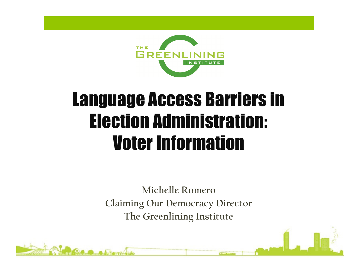

### Language Access Barriers in Election Administration: Voter Information

Michelle Romero Claiming Our Democracy Director The Greenlining Institute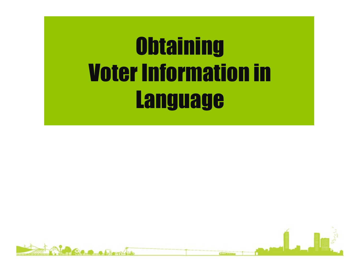# **Obtaining** Voter Information in **Language**

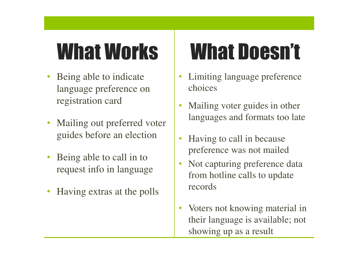- Being able to indicate language preference on registration card
- Mailing out preferred voter guides before an election
- Being able to call in to request info in language
- Having extras at the polls

## What Works What Doesn't

- Limiting language preference choices
- Mailing voter guides in other languages and formats too late
- Having to call in because preference was not mailed
- Not capturing preference data from hotline calls to update records
- Voters not knowing material in their language is available; not showing up as a result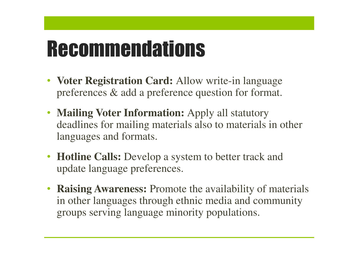### **Recommendations**

- **Voter Registration Card:** Allow write-in language preferences & add a preference question for format.
- **Mailing Voter Information:** Apply all statutory deadlines for mailing materials also to materials in other languages and formats.
- **Hotline Calls:** Develop a system to better track and update language preferences.
- **Raising Awareness:** Promote the availability of materials in other languages through ethnic media and community groups serving language minority populations.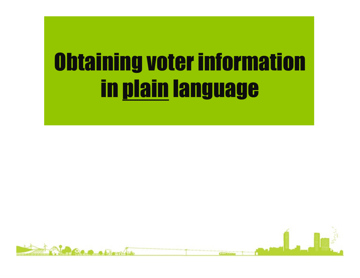# Obtaining voter information in plain language

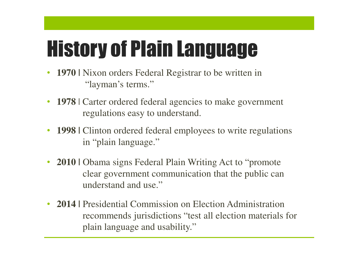# History of Plain Language

- **1970** | Nixon orders Federal Registrar to be written in "layman's terms."
- **1978** | Carter ordered federal agencies to make government regulations easy to understand.
- **1998** Clinton ordered federal employees to write regulations in "plain language."
- **2010** | Obama signs Federal Plain Writing Act to "promote" clear government communication that the public can understand and use."
- **2014 |** Presidential Commission on Election Administration recommends jurisdictions "test all election materials for plain language and usability."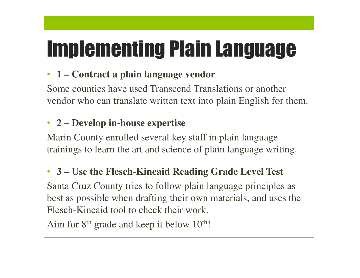## Implementing Plain Language

### • **1 – Contract a plain language vendor**

Some counties have used Transcend Translations or another vendor who can translate written text into plain English for them.

#### • **2 – Develop in-house expertise**

Marin County enrolled several key staff in plain language trainings to learn the art and science of plain language writing.

### • **3 – Use the Flesch-Kincaid Reading Grade Level Test**

Santa Cruz County tries to follow plain language principles as best as possible when drafting their own materials, and uses the Flesch-Kincaid tool to check their work.

Aim for 8<sup>th</sup> grade and keep it below 10<sup>th</sup>!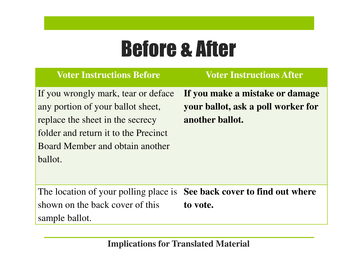### Before & After

#### **Voter Instructions Before Voter Instructions After**

If you wrongly mark, tear or deface any portion of your ballot sheet, replace the sheet in the secrecy folder and return it to the Precinct Board Member and obtain another ballot.

**If you make a mistake or damage your ballot, ask a poll worker for another ballot.**

The location of your polling place is **See back cover to find out where**  shown on the back cover of this sample ballot. **to vote.**

**Implications for Translated Material**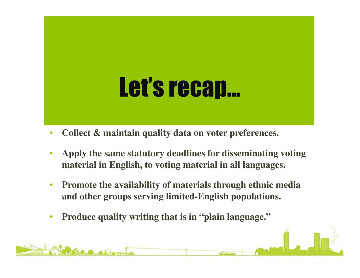# Let's recap…

- **Collect & maintain quality data on voter preferences.**
- **Apply the same statutory deadlines for disseminating voting material in English, to voting material in all languages.**
- **Promote the availability of materials through ethnic media and other groups serving limited-English populations.**
- **Produce quality writing that is in "plain language."**